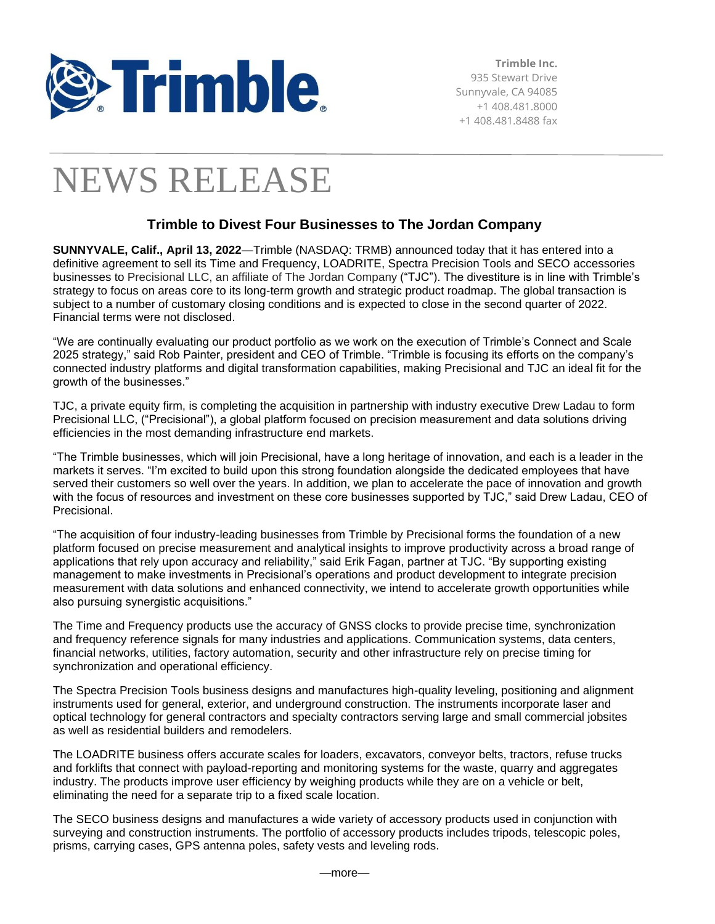

# NEWS RELEASE

# **Trimble to Divest Four Businesses to The Jordan Company**

**SUNNYVALE, Calif., April 13, 2022**—Trimble (NASDAQ: TRMB) announced today that it has entered into a definitive agreement to sell its Time and Frequency, LOADRITE, Spectra Precision Tools and SECO accessories businesses to Precisional LLC, an affiliate of The Jordan Company ("TJC"). The divestiture is in line with Trimble's strategy to focus on areas core to its long-term growth and strategic product roadmap. The global transaction is subject to a number of customary closing conditions and is expected to close in the second quarter of 2022. Financial terms were not disclosed.

"We are continually evaluating our product portfolio as we work on the execution of Trimble's Connect and Scale 2025 strategy," said Rob Painter, president and CEO of Trimble. "Trimble is focusing its efforts on the company's connected industry platforms and digital transformation capabilities, making Precisional and TJC an ideal fit for the growth of the businesses."

TJC, a private equity firm, is completing the acquisition in partnership with industry executive Drew Ladau to form Precisional LLC, ("Precisional"), a global platform focused on precision measurement and data solutions driving efficiencies in the most demanding infrastructure end markets.

"The Trimble businesses, which will join Precisional, have a long heritage of innovation, and each is a leader in the markets it serves. "I'm excited to build upon this strong foundation alongside the dedicated employees that have served their customers so well over the years. In addition, we plan to accelerate the pace of innovation and growth with the focus of resources and investment on these core businesses supported by TJC," said Drew Ladau, CEO of Precisional.

"The acquisition of four industry-leading businesses from Trimble by Precisional forms the foundation of a new platform focused on precise measurement and analytical insights to improve productivity across a broad range of applications that rely upon accuracy and reliability," said Erik Fagan, partner at TJC. "By supporting existing management to make investments in Precisional's operations and product development to integrate precision measurement with data solutions and enhanced connectivity, we intend to accelerate growth opportunities while also pursuing synergistic acquisitions."

The Time and Frequency products use the accuracy of GNSS clocks to provide precise time, synchronization and frequency reference signals for many industries and applications. Communication systems, data centers, financial networks, utilities, factory automation, security and other infrastructure rely on precise timing for synchronization and operational efficiency.

The Spectra Precision Tools business designs and manufactures high-quality leveling, positioning and alignment instruments used for general, exterior, and underground construction. The instruments incorporate laser and optical technology for general contractors and specialty contractors serving large and small commercial jobsites as well as residential builders and remodelers.

The LOADRITE business offers accurate scales for loaders, excavators, conveyor belts, tractors, refuse trucks and forklifts that connect with payload-reporting and monitoring systems for the waste, quarry and aggregates industry. The products improve user efficiency by weighing products while they are on a vehicle or belt, eliminating the need for a separate trip to a fixed scale location.

The SECO business designs and manufactures a wide variety of accessory products used in conjunction with surveying and construction instruments. The portfolio of accessory products includes tripods, telescopic poles, prisms, carrying cases, GPS antenna poles, safety vests and leveling rods.